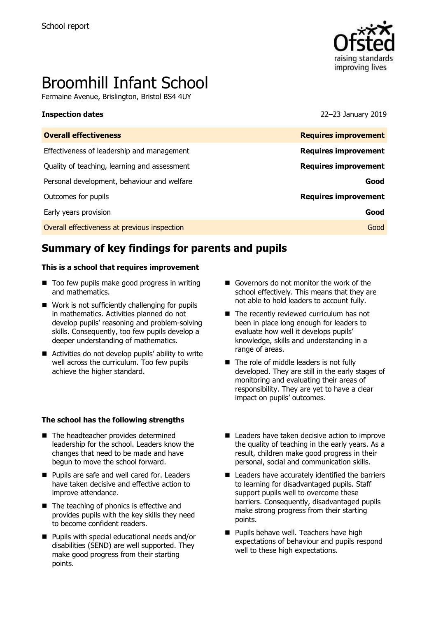

# Broomhill Infant School

Fermaine Avenue, Brislington, Bristol BS4 4UY

**Inspection dates** 22–23 January 2019

| <b>Overall effectiveness</b>                 | <b>Requires improvement</b> |
|----------------------------------------------|-----------------------------|
| Effectiveness of leadership and management   | <b>Requires improvement</b> |
| Quality of teaching, learning and assessment | <b>Requires improvement</b> |
| Personal development, behaviour and welfare  | Good                        |
| Outcomes for pupils                          | <b>Requires improvement</b> |
| Early years provision                        | Good                        |
| Overall effectiveness at previous inspection | Good                        |

# **Summary of key findings for parents and pupils**

### **This is a school that requires improvement**

- $\blacksquare$  Too few pupils make good progress in writing and mathematics.
- Work is not sufficiently challenging for pupils in mathematics. Activities planned do not develop pupils' reasoning and problem-solving skills. Consequently, too few pupils develop a deeper understanding of mathematics.
- Activities do not develop pupils' ability to write well across the curriculum. Too few pupils achieve the higher standard.

### **The school has the following strengths**

- The headteacher provides determined leadership for the school. Leaders know the changes that need to be made and have begun to move the school forward.
- **Pupils are safe and well cared for. Leaders** have taken decisive and effective action to improve attendance.
- The teaching of phonics is effective and provides pupils with the key skills they need to become confident readers.
- **Pupils with special educational needs and/or** disabilities (SEND) are well supported. They make good progress from their starting points.
- Governors do not monitor the work of the school effectively. This means that they are not able to hold leaders to account fully.
- The recently reviewed curriculum has not been in place long enough for leaders to evaluate how well it develops pupils' knowledge, skills and understanding in a range of areas.
- The role of middle leaders is not fully developed. They are still in the early stages of monitoring and evaluating their areas of responsibility. They are yet to have a clear impact on pupils' outcomes.
- Leaders have taken decisive action to improve the quality of teaching in the early years. As a result, children make good progress in their personal, social and communication skills.
- Leaders have accurately identified the barriers to learning for disadvantaged pupils. Staff support pupils well to overcome these barriers. Consequently, disadvantaged pupils make strong progress from their starting points.
- **Pupils behave well. Teachers have high** expectations of behaviour and pupils respond well to these high expectations.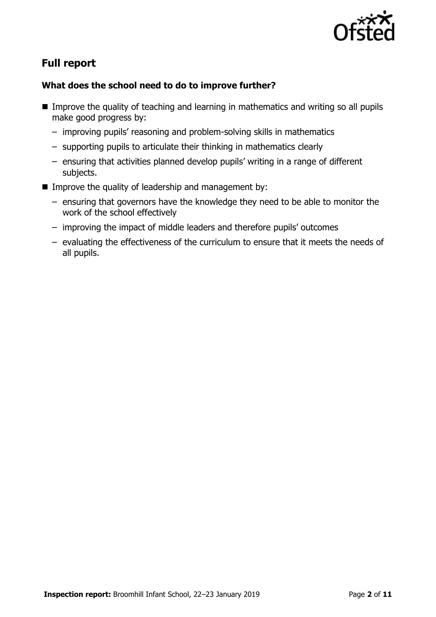

# **Full report**

### **What does the school need to do to improve further?**

- Improve the quality of teaching and learning in mathematics and writing so all pupils make good progress by:
	- improving pupils' reasoning and problem-solving skills in mathematics
	- supporting pupils to articulate their thinking in mathematics clearly
	- ensuring that activities planned develop pupils' writing in a range of different subjects.
- Improve the quality of leadership and management by:
	- ensuring that governors have the knowledge they need to be able to monitor the work of the school effectively
	- improving the impact of middle leaders and therefore pupils' outcomes
	- evaluating the effectiveness of the curriculum to ensure that it meets the needs of all pupils.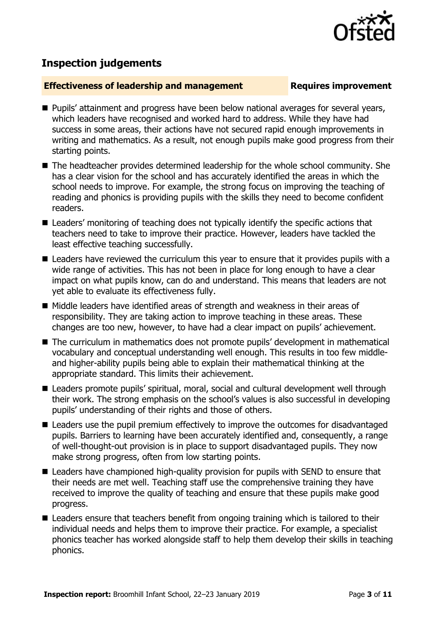

# **Inspection judgements**

### **Effectiveness of leadership and management Requires improvement**

- **Pupils' attainment and progress have been below national averages for several years,** which leaders have recognised and worked hard to address. While they have had success in some areas, their actions have not secured rapid enough improvements in writing and mathematics. As a result, not enough pupils make good progress from their starting points.
- The headteacher provides determined leadership for the whole school community. She has a clear vision for the school and has accurately identified the areas in which the school needs to improve. For example, the strong focus on improving the teaching of reading and phonics is providing pupils with the skills they need to become confident readers.
- Leaders' monitoring of teaching does not typically identify the specific actions that teachers need to take to improve their practice. However, leaders have tackled the least effective teaching successfully.
- Leaders have reviewed the curriculum this year to ensure that it provides pupils with a wide range of activities. This has not been in place for long enough to have a clear impact on what pupils know, can do and understand. This means that leaders are not yet able to evaluate its effectiveness fully.
- $\blacksquare$  Middle leaders have identified areas of strength and weakness in their areas of responsibility. They are taking action to improve teaching in these areas. These changes are too new, however, to have had a clear impact on pupils' achievement.
- The curriculum in mathematics does not promote pupils' development in mathematical vocabulary and conceptual understanding well enough. This results in too few middleand higher-ability pupils being able to explain their mathematical thinking at the appropriate standard. This limits their achievement.
- Leaders promote pupils' spiritual, moral, social and cultural development well through their work. The strong emphasis on the school's values is also successful in developing pupils' understanding of their rights and those of others.
- Leaders use the pupil premium effectively to improve the outcomes for disadvantaged pupils. Barriers to learning have been accurately identified and, consequently, a range of well-thought-out provision is in place to support disadvantaged pupils. They now make strong progress, often from low starting points.
- Leaders have championed high-quality provision for pupils with SEND to ensure that their needs are met well. Teaching staff use the comprehensive training they have received to improve the quality of teaching and ensure that these pupils make good progress.
- Leaders ensure that teachers benefit from ongoing training which is tailored to their individual needs and helps them to improve their practice. For example, a specialist phonics teacher has worked alongside staff to help them develop their skills in teaching phonics.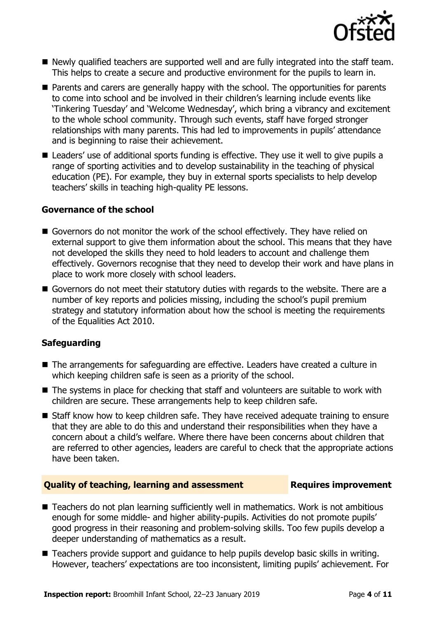

- Newly qualified teachers are supported well and are fully integrated into the staff team. This helps to create a secure and productive environment for the pupils to learn in.
- **Parents and carers are generally happy with the school. The opportunities for parents** to come into school and be involved in their children's learning include events like 'Tinkering Tuesday' and 'Welcome Wednesday', which bring a vibrancy and excitement to the whole school community. Through such events, staff have forged stronger relationships with many parents. This had led to improvements in pupils' attendance and is beginning to raise their achievement.
- Leaders' use of additional sports funding is effective. They use it well to give pupils a range of sporting activities and to develop sustainability in the teaching of physical education (PE). For example, they buy in external sports specialists to help develop teachers' skills in teaching high-quality PE lessons.

### **Governance of the school**

- Governors do not monitor the work of the school effectively. They have relied on external support to give them information about the school. This means that they have not developed the skills they need to hold leaders to account and challenge them effectively. Governors recognise that they need to develop their work and have plans in place to work more closely with school leaders.
- Governors do not meet their statutory duties with regards to the website. There are a number of key reports and policies missing, including the school's pupil premium strategy and statutory information about how the school is meeting the requirements of the Equalities Act 2010.

### **Safeguarding**

- The arrangements for safeguarding are effective. Leaders have created a culture in which keeping children safe is seen as a priority of the school.
- The systems in place for checking that staff and volunteers are suitable to work with children are secure. These arrangements help to keep children safe.
- Staff know how to keep children safe. They have received adequate training to ensure that they are able to do this and understand their responsibilities when they have a concern about a child's welfare. Where there have been concerns about children that are referred to other agencies, leaders are careful to check that the appropriate actions have been taken.

### **Quality of teaching, learning and assessment Fig. 2.1 Requires improvement**

- Teachers do not plan learning sufficiently well in mathematics. Work is not ambitious enough for some middle- and higher ability-pupils. Activities do not promote pupils' good progress in their reasoning and problem-solving skills. Too few pupils develop a deeper understanding of mathematics as a result.
- Teachers provide support and quidance to help pupils develop basic skills in writing. However, teachers' expectations are too inconsistent, limiting pupils' achievement. For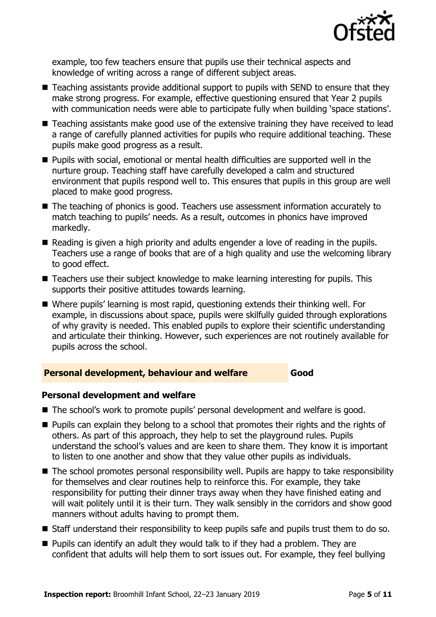

example, too few teachers ensure that pupils use their technical aspects and knowledge of writing across a range of different subject areas.

- Teaching assistants provide additional support to pupils with SEND to ensure that they make strong progress. For example, effective questioning ensured that Year 2 pupils with communication needs were able to participate fully when building 'space stations'.
- Teaching assistants make good use of the extensive training they have received to lead a range of carefully planned activities for pupils who require additional teaching. These pupils make good progress as a result.
- **Pupils with social, emotional or mental health difficulties are supported well in the** nurture group. Teaching staff have carefully developed a calm and structured environment that pupils respond well to. This ensures that pupils in this group are well placed to make good progress.
- The teaching of phonics is good. Teachers use assessment information accurately to match teaching to pupils' needs. As a result, outcomes in phonics have improved markedly.
- Reading is given a high priority and adults engender a love of reading in the pupils. Teachers use a range of books that are of a high quality and use the welcoming library to good effect.
- Teachers use their subject knowledge to make learning interesting for pupils. This supports their positive attitudes towards learning.
- Where pupils' learning is most rapid, questioning extends their thinking well. For example, in discussions about space, pupils were skilfully guided through explorations of why gravity is needed. This enabled pupils to explore their scientific understanding and articulate their thinking. However, such experiences are not routinely available for pupils across the school.

### **Personal development, behaviour and welfare <b>Good**

### **Personal development and welfare**

- The school's work to promote pupils' personal development and welfare is good.
- **Pupils can explain they belong to a school that promotes their rights and the rights of** others. As part of this approach, they help to set the playground rules. Pupils understand the school's values and are keen to share them. They know it is important to listen to one another and show that they value other pupils as individuals.
- The school promotes personal responsibility well. Pupils are happy to take responsibility for themselves and clear routines help to reinforce this. For example, they take responsibility for putting their dinner trays away when they have finished eating and will wait politely until it is their turn. They walk sensibly in the corridors and show good manners without adults having to prompt them.
- Staff understand their responsibility to keep pupils safe and pupils trust them to do so.
- **Pupils can identify an adult they would talk to if they had a problem. They are** confident that adults will help them to sort issues out. For example, they feel bullying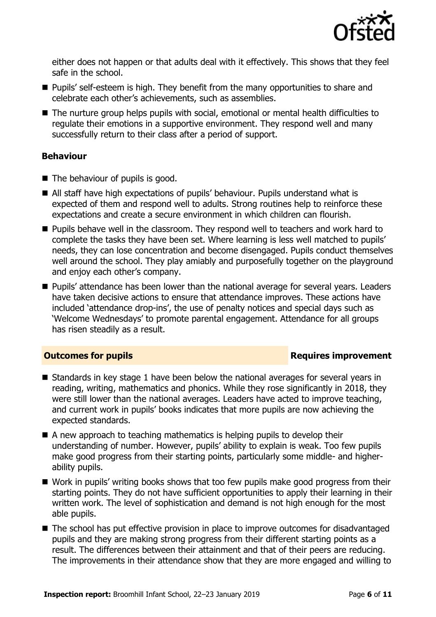

either does not happen or that adults deal with it effectively. This shows that they feel safe in the school.

- **Pupils' self-esteem is high. They benefit from the many opportunities to share and** celebrate each other's achievements, such as assemblies.
- The nurture group helps pupils with social, emotional or mental health difficulties to regulate their emotions in a supportive environment. They respond well and many successfully return to their class after a period of support.

### **Behaviour**

- $\blacksquare$  The behaviour of pupils is good.
- All staff have high expectations of pupils' behaviour. Pupils understand what is expected of them and respond well to adults. Strong routines help to reinforce these expectations and create a secure environment in which children can flourish.
- **Pupils behave well in the classroom. They respond well to teachers and work hard to** complete the tasks they have been set. Where learning is less well matched to pupils' needs, they can lose concentration and become disengaged. Pupils conduct themselves well around the school. They play amiably and purposefully together on the playground and enjoy each other's company.
- **Pupils'** attendance has been lower than the national average for several years. Leaders have taken decisive actions to ensure that attendance improves. These actions have included 'attendance drop-ins', the use of penalty notices and special days such as 'Welcome Wednesdays' to promote parental engagement. Attendance for all groups has risen steadily as a result.

### **Outcomes for pupils Requires improvement**

- Standards in key stage 1 have been below the national averages for several years in reading, writing, mathematics and phonics. While they rose significantly in 2018, they were still lower than the national averages. Leaders have acted to improve teaching, and current work in pupils' books indicates that more pupils are now achieving the expected standards.
- A new approach to teaching mathematics is helping pupils to develop their understanding of number. However, pupils' ability to explain is weak. Too few pupils make good progress from their starting points, particularly some middle- and higherability pupils.
- Work in pupils' writing books shows that too few pupils make good progress from their starting points. They do not have sufficient opportunities to apply their learning in their written work. The level of sophistication and demand is not high enough for the most able pupils.
- The school has put effective provision in place to improve outcomes for disadvantaged pupils and they are making strong progress from their different starting points as a result. The differences between their attainment and that of their peers are reducing. The improvements in their attendance show that they are more engaged and willing to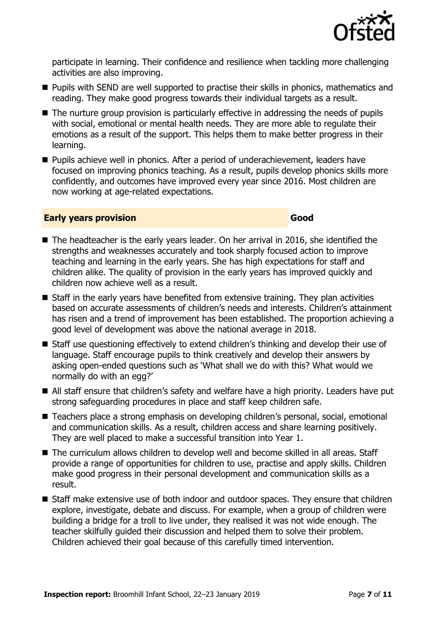

participate in learning. Their confidence and resilience when tackling more challenging activities are also improving.

- **Pupils with SEND are well supported to practise their skills in phonics, mathematics and** reading. They make good progress towards their individual targets as a result.
- The nurture group provision is particularly effective in addressing the needs of pupils with social, emotional or mental health needs. They are more able to regulate their emotions as a result of the support. This helps them to make better progress in their learning.
- **Pupils achieve well in phonics. After a period of underachievement, leaders have** focused on improving phonics teaching. As a result, pupils develop phonics skills more confidently, and outcomes have improved every year since 2016. Most children are now working at age-related expectations.

### **Early years provision Good Good**

- The headteacher is the early years leader. On her arrival in 2016, she identified the strengths and weaknesses accurately and took sharply focused action to improve teaching and learning in the early years. She has high expectations for staff and children alike. The quality of provision in the early years has improved quickly and children now achieve well as a result.
- Staff in the early years have benefited from extensive training. They plan activities based on accurate assessments of children's needs and interests. Children's attainment has risen and a trend of improvement has been established. The proportion achieving a good level of development was above the national average in 2018.
- Staff use questioning effectively to extend children's thinking and develop their use of language. Staff encourage pupils to think creatively and develop their answers by asking open-ended questions such as 'What shall we do with this? What would we normally do with an egg?'
- All staff ensure that children's safety and welfare have a high priority. Leaders have put strong safeguarding procedures in place and staff keep children safe.
- Teachers place a strong emphasis on developing children's personal, social, emotional and communication skills. As a result, children access and share learning positively. They are well placed to make a successful transition into Year 1.
- The curriculum allows children to develop well and become skilled in all areas. Staff provide a range of opportunities for children to use, practise and apply skills. Children make good progress in their personal development and communication skills as a result.
- Staff make extensive use of both indoor and outdoor spaces. They ensure that children explore, investigate, debate and discuss. For example, when a group of children were building a bridge for a troll to live under, they realised it was not wide enough. The teacher skilfully guided their discussion and helped them to solve their problem. Children achieved their goal because of this carefully timed intervention.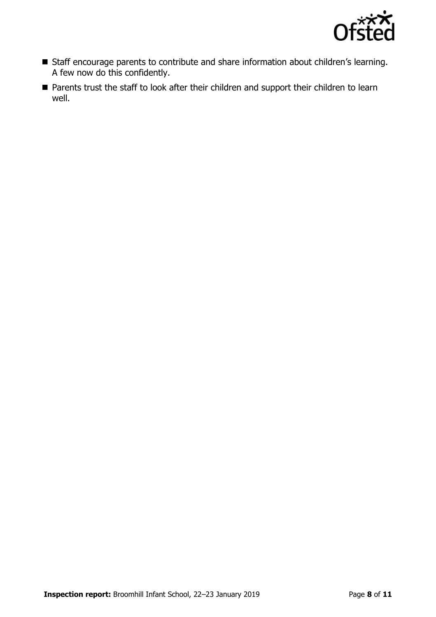

- Staff encourage parents to contribute and share information about children's learning. A few now do this confidently.
- **Parents trust the staff to look after their children and support their children to learn** well.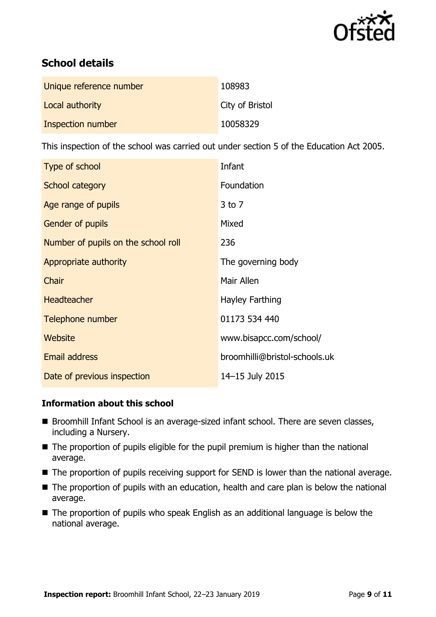

# **School details**

| Unique reference number | 108983          |
|-------------------------|-----------------|
| Local authority         | City of Bristol |
| Inspection number       | 10058329        |

This inspection of the school was carried out under section 5 of the Education Act 2005.

| Type of school                      | Infant                        |
|-------------------------------------|-------------------------------|
| School category                     | Foundation                    |
| Age range of pupils                 | $3$ to $7$                    |
| <b>Gender of pupils</b>             | Mixed                         |
| Number of pupils on the school roll | 236                           |
| Appropriate authority               | The governing body            |
| Chair                               | Mair Allen                    |
| <b>Headteacher</b>                  | Hayley Farthing               |
| Telephone number                    | 01173 534 440                 |
| Website                             | www.bisapcc.com/school/       |
| <b>Email address</b>                | broomhilli@bristol-schools.uk |
| Date of previous inspection         | 14-15 July 2015               |

### **Information about this school**

- Broomhill Infant School is an average-sized infant school. There are seven classes, including a Nursery.
- $\blacksquare$  The proportion of pupils eligible for the pupil premium is higher than the national average.
- The proportion of pupils receiving support for SEND is lower than the national average.
- The proportion of pupils with an education, health and care plan is below the national average.
- The proportion of pupils who speak English as an additional language is below the national average.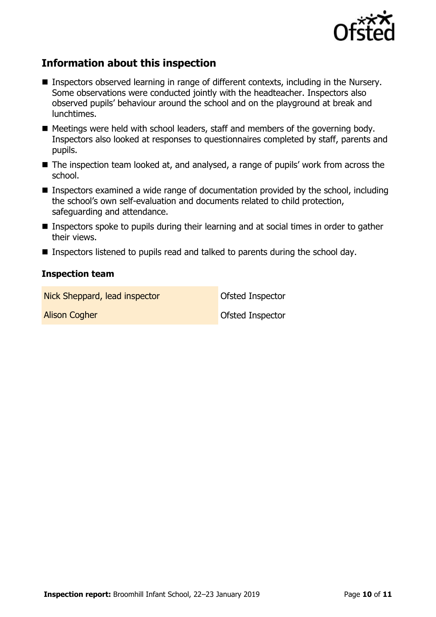

# **Information about this inspection**

- Inspectors observed learning in range of different contexts, including in the Nursery. Some observations were conducted jointly with the headteacher. Inspectors also observed pupils' behaviour around the school and on the playground at break and lunchtimes.
- $\blacksquare$  Meetings were held with school leaders, staff and members of the governing body. Inspectors also looked at responses to questionnaires completed by staff, parents and pupils.
- The inspection team looked at, and analysed, a range of pupils' work from across the school.
- Inspectors examined a wide range of documentation provided by the school, including the school's own self-evaluation and documents related to child protection, safeguarding and attendance.
- Inspectors spoke to pupils during their learning and at social times in order to gather their views.
- Inspectors listened to pupils read and talked to parents during the school day.

### **Inspection team**

Nick Sheppard, lead inspector **Ofsted Inspector** 

Alison Cogher **Community** Control Community Control Control Control Control Control Control Control Control Control Control Control Control Control Control Control Control Control Control Control Control Control Control Co